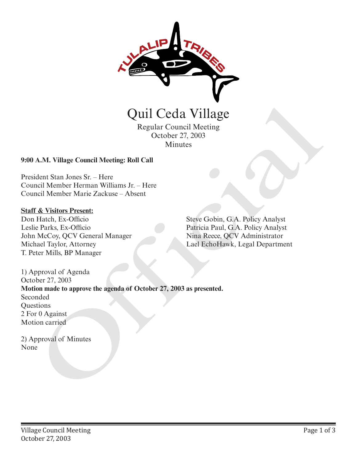

Regular Council Meeting October 27, 2003 Minutes

## **9:00 A.M. Village Council Meeting: Roll Call**

President Stan Jones Sr. – Here Council Member Herman Williams Jr. – Here Council Member Marie Zackuse – Absent

#### **Staff & Visitors Present:**

Don Hatch, Ex-Officio Leslie Parks, Ex-Officio John McCoy, QCV General Manager Michael Taylor, Attorney T. Peter Mills, BP Manager

Steve Gobin, G.A. Policy Analyst Patricia Paul, G.A. Policy Analyst Nina Reece, QCV Administrator Lael EchoHawk, Legal Department

1) Approval of Agenda October 27, 2003 **Motion made to approve the agenda of October 27, 2003 as presented.** Seconded **Questions** 2 For 0 Against Motion carried **Carl Carl Carl Carl Carl Capital Carl Capital Capital Capital Capital Capital Capital Capital Capital Capital Capital Capital Capital Capital Capital Capital Capital Capital Capital Capital Capital Capital Capital Capital** 

2) Approval of Minutes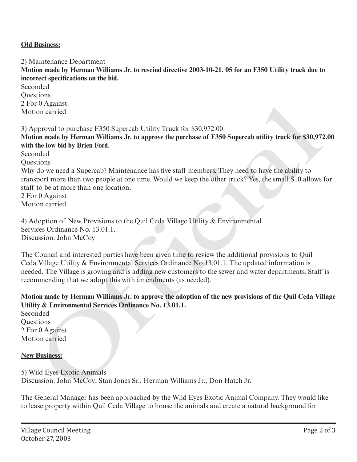## **Old Business:**

2) Maintenance Department

**Motion made by Herman Williams Jr. to rescind directive 2003-10-21, 05 for an F350 Utility truck due to incorrect specifications on the bid.**

**Seconded Ouestions** 2 For 0 Against Motion carried

3) Approval to purchase F350 Supercab Utility Truck for \$30,972.00.

**Motion made by Herman Williams Jr. to approve the purchase of F350 Supercab utility truck for \$30,972.00 with the low bid by Brien Ford.**

Seconded

Questions

Why do we need a Supercab? Maintenance has five staff members. They need to have the ability to transport more than two people at one time. Would we keep the other truck? Yes, the small S10 allows for staff to be at more than one location.

2 For 0 Against Motion carried

4) Adoption of New Provisions to the Quil Ceda Village Utility & Environmental Services Ordinance No. 13.01.1. Discussion: John McCoy

The Council and interested parties have been given time to review the additional provisions to Quil Ceda Village Utility & Environmental Services Ordinance No 13.01.1. The updated information is needed. The Village is growing and is adding new customers to the sewer and water departments. Staff is recommending that we adopt this with amendments (as needed). r<sup>1</sup> Arganst<br>
non carried<br>
pproval to purchase F350 Supercab Utility Truck for \$30,972.00.<br>
pproval to purchase F350 Supercab Utility Truck for \$30,972.00.<br>
Into the low bid by Brien Ford.<br>
into the low bid by Brien Ford.<br>

# **Motion made by Herman Williams Jr. to approve the adoption of the new provisions of the Quil Ceda Village Utility & Environmental Services Ordinance No. 13.01.1.**

Seconded Questions 2 For 0 Against Motion carried

#### **New Business:**

5) Wild Eyes Exotic Animals Discussion: John McCoy; Stan Jones Sr., Herman Williams Jr.; Don Hatch Jr.

The General Manager has been approached by the Wild Eyes Exotic Animal Company. They would like to lease property within Quil Ceda Village to house the animals and create a natural background for